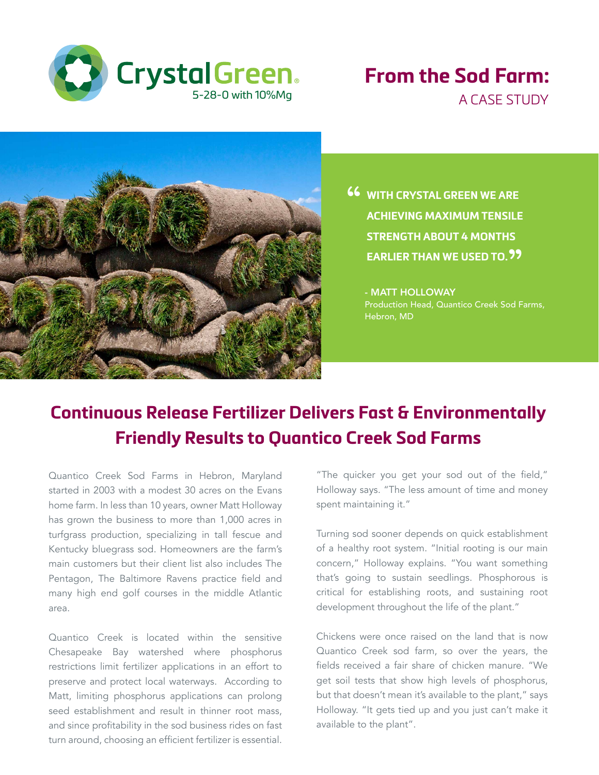

### **From the Sod Farm:** A CASE STUDY



**46** WITH CRYSTAL GREEN WE ARE<br>ACHIEVING MAXIMUM TENSILE **ACHIEVING MAXIMUM TENSILE STRENGTH ABOUT 4 MONTHS**  EARLIER THAN WE USED TO.<sup>99</sup>

- MATT HOLLOWAY Production Head, Quantico Creek Sod Farms, Hebron, MD

## **Continuous Release Fertilizer Delivers Fast & Environmentally Friendly Results to Quantico Creek Sod Farms**

Quantico Creek Sod Farms in Hebron, Maryland started in 2003 with a modest 30 acres on the Evans home farm. In less than 10 years, owner Matt Holloway has grown the business to more than 1,000 acres in turfgrass production, specializing in tall fescue and Kentucky bluegrass sod. Homeowners are the farm's main customers but their client list also includes The Pentagon, The Baltimore Ravens practice field and many high end golf courses in the middle Atlantic area.

Quantico Creek is located within the sensitive Chesapeake Bay watershed where phosphorus restrictions limit fertilizer applications in an effort to preserve and protect local waterways. According to Matt, limiting phosphorus applications can prolong seed establishment and result in thinner root mass, and since profitability in the sod business rides on fast turn around, choosing an efficient fertilizer is essential.

"The quicker you get your sod out of the field," Holloway says. "The less amount of time and money spent maintaining it."

Turning sod sooner depends on quick establishment of a healthy root system. "Initial rooting is our main concern," Holloway explains. "You want something that's going to sustain seedlings. Phosphorous is critical for establishing roots, and sustaining root development throughout the life of the plant."

Chickens were once raised on the land that is now Quantico Creek sod farm, so over the years, the fields received a fair share of chicken manure. "We get soil tests that show high levels of phosphorus, but that doesn't mean it's available to the plant," says Holloway. "It gets tied up and you just can't make it available to the plant".